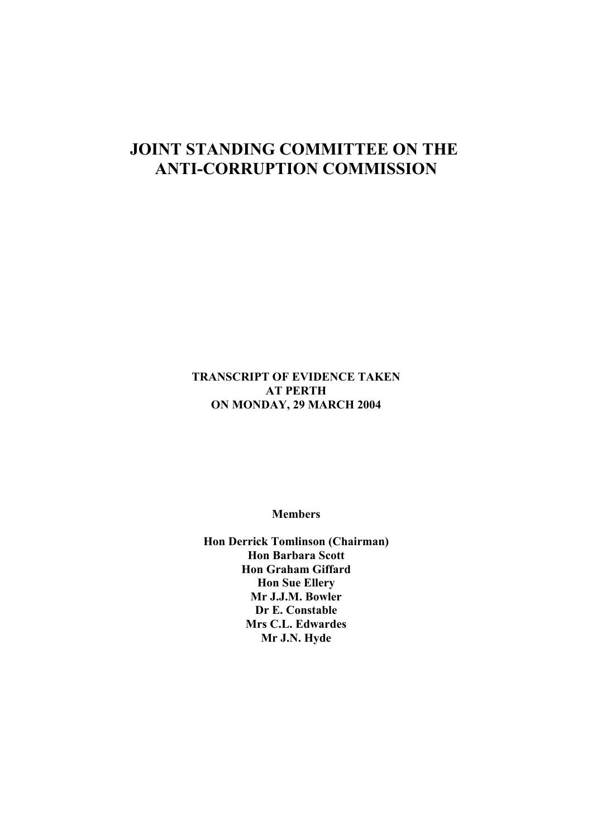# **JOINT STANDING COMMITTEE ON THE ANTI-CORRUPTION COMMISSION**

**TRANSCRIPT OF EVIDENCE TAKEN AT PERTH ON MONDAY, 29 MARCH 2004**

**Members**

**Hon Derrick Tomlinson (Chairman) Hon Barbara Scott Hon Graham Giffard Hon Sue Ellery Mr J.J.M. Bowler Dr E. Constable Mrs C.L. Edwardes Mr J.N. Hyde**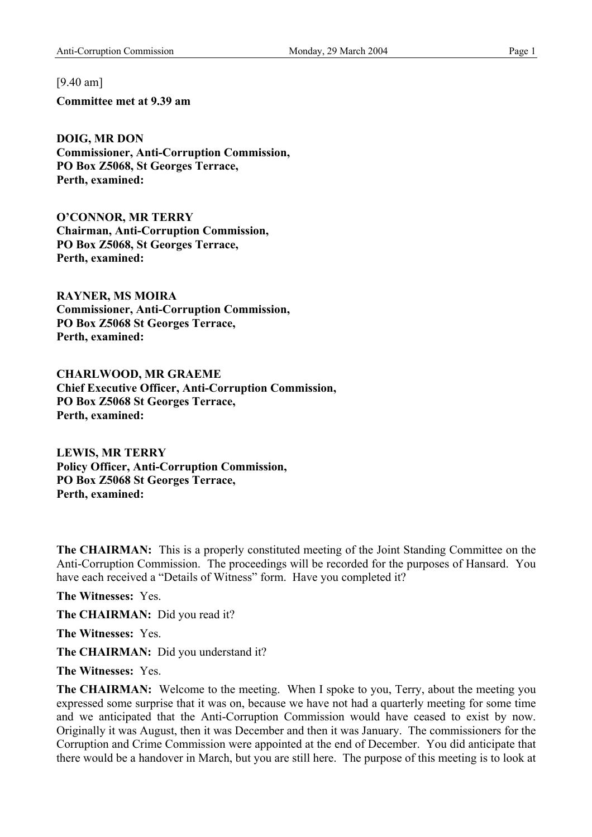[9.40 am]

**Committee met at 9.39 am** 

**DOIG, MR DON Commissioner, Anti-Corruption Commission, PO Box Z5068, St Georges Terrace, Perth, examined:** 

**O'CONNOR, MR TERRY Chairman, Anti-Corruption Commission, PO Box Z5068, St Georges Terrace, Perth, examined:** 

**RAYNER, MS MOIRA Commissioner, Anti-Corruption Commission, PO Box Z5068 St Georges Terrace, Perth, examined:** 

**CHARLWOOD, MR GRAEME Chief Executive Officer, Anti-Corruption Commission, PO Box Z5068 St Georges Terrace, Perth, examined:** 

**LEWIS, MR TERRY Policy Officer, Anti-Corruption Commission, PO Box Z5068 St Georges Terrace, Perth, examined:** 

**The CHAIRMAN:** This is a properly constituted meeting of the Joint Standing Committee on the Anti-Corruption Commission. The proceedings will be recorded for the purposes of Hansard. You have each received a "Details of Witness" form. Have you completed it?

**The Witnesses:** Yes.

**The CHAIRMAN:** Did you read it?

**The Witnesses:** Yes.

**The CHAIRMAN:** Did you understand it?

**The Witnesses:** Yes.

**The CHAIRMAN:** Welcome to the meeting. When I spoke to you, Terry, about the meeting you expressed some surprise that it was on, because we have not had a quarterly meeting for some time and we anticipated that the Anti-Corruption Commission would have ceased to exist by now. Originally it was August, then it was December and then it was January. The commissioners for the Corruption and Crime Commission were appointed at the end of December. You did anticipate that there would be a handover in March, but you are still here. The purpose of this meeting is to look at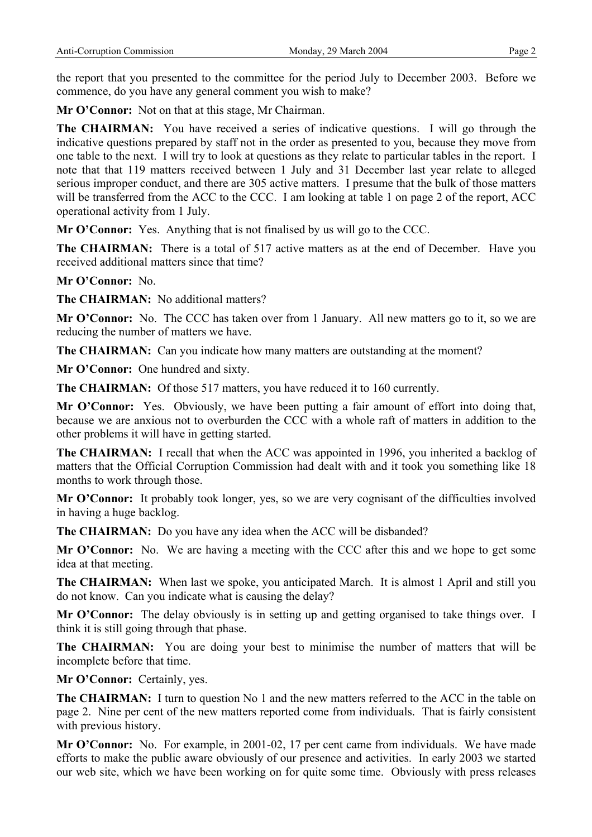the report that you presented to the committee for the period July to December 2003. Before we commence, do you have any general comment you wish to make?

**Mr O'Connor:** Not on that at this stage, Mr Chairman.

**The CHAIRMAN:** You have received a series of indicative questions. I will go through the indicative questions prepared by staff not in the order as presented to you, because they move from one table to the next. I will try to look at questions as they relate to particular tables in the report. I note that that 119 matters received between 1 July and 31 December last year relate to alleged serious improper conduct, and there are 305 active matters. I presume that the bulk of those matters will be transferred from the ACC to the CCC. I am looking at table 1 on page 2 of the report, ACC operational activity from 1 July.

**Mr O'Connor:** Yes. Anything that is not finalised by us will go to the CCC.

**The CHAIRMAN:** There is a total of 517 active matters as at the end of December. Have you received additional matters since that time?

**Mr O'Connor:** No.

**The CHAIRMAN:** No additional matters?

**Mr O'Connor:** No. The CCC has taken over from 1 January. All new matters go to it, so we are reducing the number of matters we have.

**The CHAIRMAN:** Can you indicate how many matters are outstanding at the moment?

**Mr O'Connor:** One hundred and sixty.

**The CHAIRMAN:** Of those 517 matters, you have reduced it to 160 currently.

**Mr O'Connor:** Yes. Obviously, we have been putting a fair amount of effort into doing that, because we are anxious not to overburden the CCC with a whole raft of matters in addition to the other problems it will have in getting started.

**The CHAIRMAN:** I recall that when the ACC was appointed in 1996, you inherited a backlog of matters that the Official Corruption Commission had dealt with and it took you something like 18 months to work through those.

**Mr O'Connor:** It probably took longer, yes, so we are very cognisant of the difficulties involved in having a huge backlog.

**The CHAIRMAN:** Do you have any idea when the ACC will be disbanded?

**Mr O'Connor:** No. We are having a meeting with the CCC after this and we hope to get some idea at that meeting.

**The CHAIRMAN:** When last we spoke, you anticipated March. It is almost 1 April and still you do not know. Can you indicate what is causing the delay?

**Mr O'Connor:** The delay obviously is in setting up and getting organised to take things over. I think it is still going through that phase.

**The CHAIRMAN:** You are doing your best to minimise the number of matters that will be incomplete before that time.

**Mr O'Connor:** Certainly, yes.

**The CHAIRMAN:** I turn to question No 1 and the new matters referred to the ACC in the table on page 2. Nine per cent of the new matters reported come from individuals. That is fairly consistent with previous history.

**Mr O'Connor:** No. For example, in 2001-02, 17 per cent came from individuals. We have made efforts to make the public aware obviously of our presence and activities. In early 2003 we started our web site, which we have been working on for quite some time. Obviously with press releases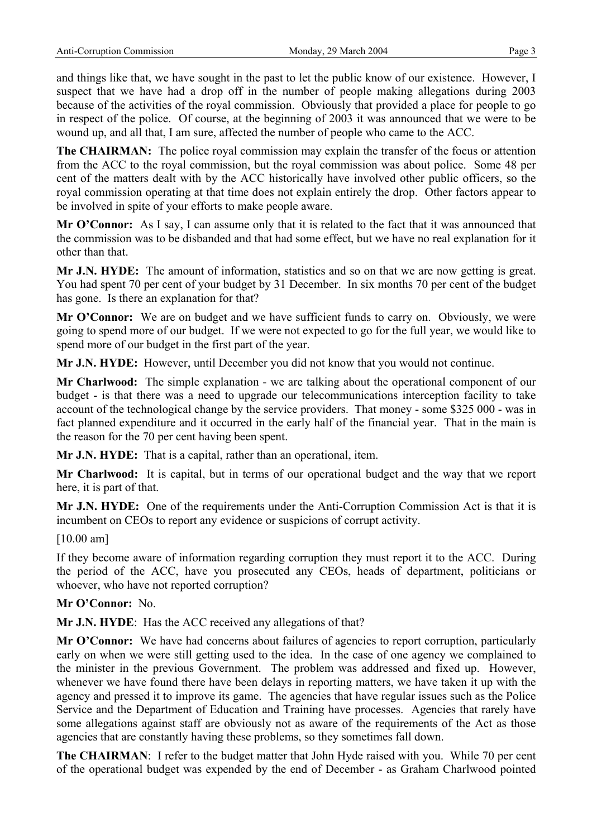and things like that, we have sought in the past to let the public know of our existence. However, I suspect that we have had a drop off in the number of people making allegations during 2003 because of the activities of the royal commission. Obviously that provided a place for people to go in respect of the police. Of course, at the beginning of 2003 it was announced that we were to be wound up, and all that, I am sure, affected the number of people who came to the ACC.

**The CHAIRMAN:** The police royal commission may explain the transfer of the focus or attention from the ACC to the royal commission, but the royal commission was about police. Some 48 per cent of the matters dealt with by the ACC historically have involved other public officers, so the royal commission operating at that time does not explain entirely the drop. Other factors appear to be involved in spite of your efforts to make people aware.

**Mr O'Connor:** As I say, I can assume only that it is related to the fact that it was announced that the commission was to be disbanded and that had some effect, but we have no real explanation for it other than that.

**Mr J.N. HYDE:** The amount of information, statistics and so on that we are now getting is great. You had spent 70 per cent of your budget by 31 December. In six months 70 per cent of the budget has gone. Is there an explanation for that?

**Mr O'Connor:** We are on budget and we have sufficient funds to carry on. Obviously, we were going to spend more of our budget. If we were not expected to go for the full year, we would like to spend more of our budget in the first part of the year.

**Mr J.N. HYDE:** However, until December you did not know that you would not continue.

**Mr Charlwood:** The simple explanation - we are talking about the operational component of our budget - is that there was a need to upgrade our telecommunications interception facility to take account of the technological change by the service providers. That money - some \$325 000 - was in fact planned expenditure and it occurred in the early half of the financial year. That in the main is the reason for the 70 per cent having been spent.

**Mr J.N. HYDE:** That is a capital, rather than an operational, item.

**Mr Charlwood:** It is capital, but in terms of our operational budget and the way that we report here, it is part of that.

**Mr J.N. HYDE:** One of the requirements under the Anti-Corruption Commission Act is that it is incumbent on CEOs to report any evidence or suspicions of corrupt activity.

## [10.00 am]

If they become aware of information regarding corruption they must report it to the ACC. During the period of the ACC, have you prosecuted any CEOs, heads of department, politicians or whoever, who have not reported corruption?

## **Mr O'Connor:** No.

**Mr J.N. HYDE**: Has the ACC received any allegations of that?

**Mr O'Connor:** We have had concerns about failures of agencies to report corruption, particularly early on when we were still getting used to the idea. In the case of one agency we complained to the minister in the previous Government. The problem was addressed and fixed up. However, whenever we have found there have been delays in reporting matters, we have taken it up with the agency and pressed it to improve its game. The agencies that have regular issues such as the Police Service and the Department of Education and Training have processes. Agencies that rarely have some allegations against staff are obviously not as aware of the requirements of the Act as those agencies that are constantly having these problems, so they sometimes fall down.

**The CHAIRMAN**: I refer to the budget matter that John Hyde raised with you. While 70 per cent of the operational budget was expended by the end of December - as Graham Charlwood pointed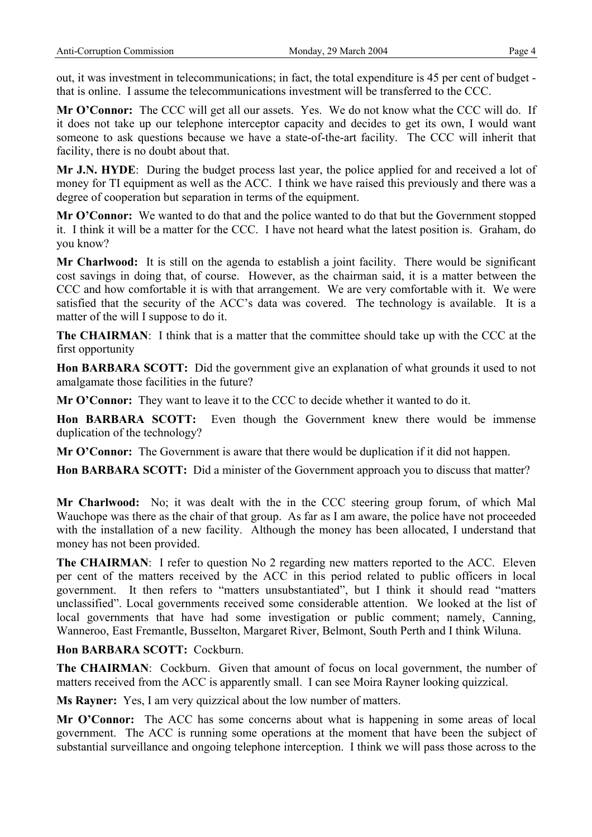out, it was investment in telecommunications; in fact, the total expenditure is 45 per cent of budget that is online. I assume the telecommunications investment will be transferred to the CCC.

**Mr O'Connor:** The CCC will get all our assets. Yes. We do not know what the CCC will do. If it does not take up our telephone interceptor capacity and decides to get its own, I would want someone to ask questions because we have a state-of-the-art facility. The CCC will inherit that facility, there is no doubt about that.

**Mr J.N. HYDE**: During the budget process last year, the police applied for and received a lot of money for TI equipment as well as the ACC. I think we have raised this previously and there was a degree of cooperation but separation in terms of the equipment.

**Mr O'Connor:** We wanted to do that and the police wanted to do that but the Government stopped it. I think it will be a matter for the CCC. I have not heard what the latest position is. Graham, do you know?

**Mr Charlwood:** It is still on the agenda to establish a joint facility. There would be significant cost savings in doing that, of course. However, as the chairman said, it is a matter between the CCC and how comfortable it is with that arrangement. We are very comfortable with it. We were satisfied that the security of the ACC's data was covered. The technology is available. It is a matter of the will I suppose to do it.

**The CHAIRMAN**: I think that is a matter that the committee should take up with the CCC at the first opportunity

**Hon BARBARA SCOTT:** Did the government give an explanation of what grounds it used to not amalgamate those facilities in the future?

**Mr O'Connor:** They want to leave it to the CCC to decide whether it wanted to do it.

**Hon BARBARA SCOTT:** Even though the Government knew there would be immense duplication of the technology?

**Mr O'Connor:** The Government is aware that there would be duplication if it did not happen.

**Hon BARBARA SCOTT:** Did a minister of the Government approach you to discuss that matter?

**Mr Charlwood:** No; it was dealt with the in the CCC steering group forum, of which Mal Wauchope was there as the chair of that group. As far as I am aware, the police have not proceeded with the installation of a new facility. Although the money has been allocated, I understand that money has not been provided.

**The CHAIRMAN:** I refer to question No 2 regarding new matters reported to the ACC. Eleven per cent of the matters received by the ACC in this period related to public officers in local government. It then refers to "matters unsubstantiated", but I think it should read "matters unclassified". Local governments received some considerable attention. We looked at the list of local governments that have had some investigation or public comment; namely, Canning, Wanneroo, East Fremantle, Busselton, Margaret River, Belmont, South Perth and I think Wiluna.

# **Hon BARBARA SCOTT:** Cockburn.

**The CHAIRMAN:** Cockburn. Given that amount of focus on local government, the number of matters received from the ACC is apparently small. I can see Moira Rayner looking quizzical.

**Ms Rayner:** Yes, I am very quizzical about the low number of matters.

**Mr O'Connor:** The ACC has some concerns about what is happening in some areas of local government. The ACC is running some operations at the moment that have been the subject of substantial surveillance and ongoing telephone interception. I think we will pass those across to the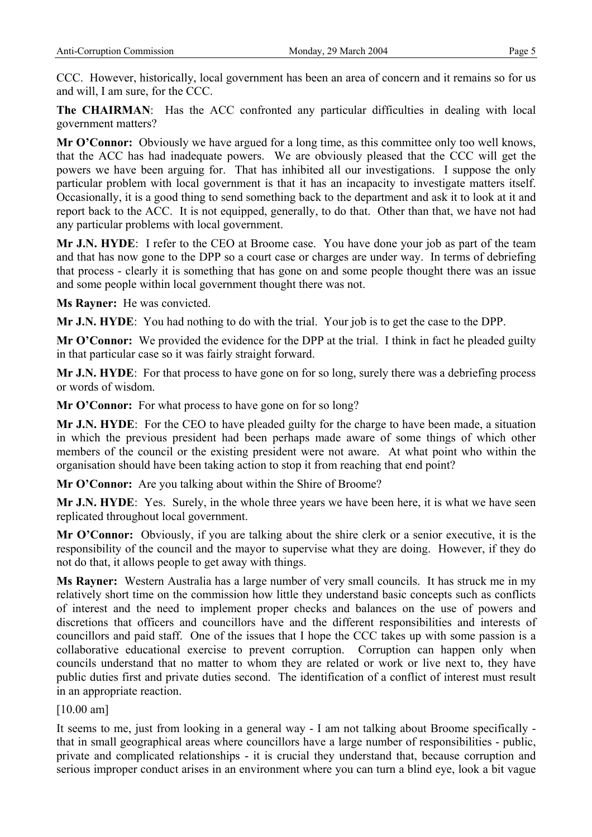CCC. However, historically, local government has been an area of concern and it remains so for us and will, I am sure, for the CCC.

**The CHAIRMAN**: Has the ACC confronted any particular difficulties in dealing with local government matters?

**Mr O'Connor:** Obviously we have argued for a long time, as this committee only too well knows, that the ACC has had inadequate powers. We are obviously pleased that the CCC will get the powers we have been arguing for. That has inhibited all our investigations. I suppose the only particular problem with local government is that it has an incapacity to investigate matters itself. Occasionally, it is a good thing to send something back to the department and ask it to look at it and report back to the ACC. It is not equipped, generally, to do that. Other than that, we have not had any particular problems with local government.

**Mr J.N. HYDE**: I refer to the CEO at Broome case. You have done your job as part of the team and that has now gone to the DPP so a court case or charges are under way. In terms of debriefing that process - clearly it is something that has gone on and some people thought there was an issue and some people within local government thought there was not.

**Ms Rayner:** He was convicted.

**Mr J.N. HYDE**: You had nothing to do with the trial. Your job is to get the case to the DPP.

**Mr O'Connor:** We provided the evidence for the DPP at the trial. I think in fact he pleaded guilty in that particular case so it was fairly straight forward.

**Mr J.N. HYDE**: For that process to have gone on for so long, surely there was a debriefing process or words of wisdom.

**Mr O'Connor:** For what process to have gone on for so long?

**Mr J.N. HYDE**: For the CEO to have pleaded guilty for the charge to have been made, a situation in which the previous president had been perhaps made aware of some things of which other members of the council or the existing president were not aware. At what point who within the organisation should have been taking action to stop it from reaching that end point?

**Mr O'Connor:** Are you talking about within the Shire of Broome?

**Mr J.N. HYDE**: Yes. Surely, in the whole three years we have been here, it is what we have seen replicated throughout local government.

**Mr O'Connor:** Obviously, if you are talking about the shire clerk or a senior executive, it is the responsibility of the council and the mayor to supervise what they are doing. However, if they do not do that, it allows people to get away with things.

**Ms Rayner:** Western Australia has a large number of very small councils. It has struck me in my relatively short time on the commission how little they understand basic concepts such as conflicts of interest and the need to implement proper checks and balances on the use of powers and discretions that officers and councillors have and the different responsibilities and interests of councillors and paid staff. One of the issues that I hope the CCC takes up with some passion is a collaborative educational exercise to prevent corruption. Corruption can happen only when councils understand that no matter to whom they are related or work or live next to, they have public duties first and private duties second. The identification of a conflict of interest must result in an appropriate reaction.

[10.00 am]

It seems to me, just from looking in a general way - I am not talking about Broome specifically that in small geographical areas where councillors have a large number of responsibilities - public, private and complicated relationships - it is crucial they understand that, because corruption and serious improper conduct arises in an environment where you can turn a blind eye, look a bit vague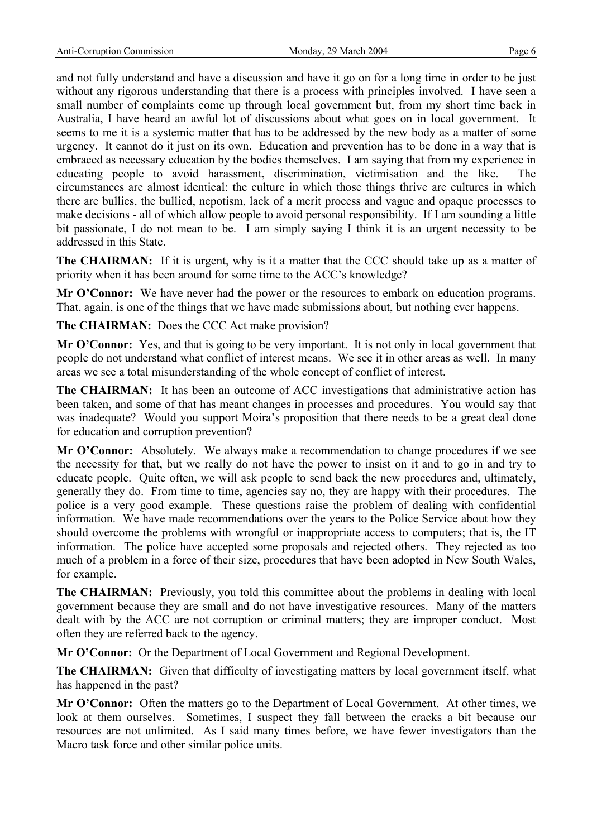and not fully understand and have a discussion and have it go on for a long time in order to be just without any rigorous understanding that there is a process with principles involved. I have seen a small number of complaints come up through local government but, from my short time back in Australia, I have heard an awful lot of discussions about what goes on in local government. It seems to me it is a systemic matter that has to be addressed by the new body as a matter of some urgency. It cannot do it just on its own. Education and prevention has to be done in a way that is embraced as necessary education by the bodies themselves. I am saying that from my experience in educating people to avoid harassment, discrimination, victimisation and the like. The circumstances are almost identical: the culture in which those things thrive are cultures in which there are bullies, the bullied, nepotism, lack of a merit process and vague and opaque processes to make decisions - all of which allow people to avoid personal responsibility. If I am sounding a little bit passionate, I do not mean to be. I am simply saying I think it is an urgent necessity to be addressed in this State.

**The CHAIRMAN:** If it is urgent, why is it a matter that the CCC should take up as a matter of priority when it has been around for some time to the ACC's knowledge?

**Mr O'Connor:** We have never had the power or the resources to embark on education programs. That, again, is one of the things that we have made submissions about, but nothing ever happens.

**The CHAIRMAN:** Does the CCC Act make provision?

**Mr O'Connor:** Yes, and that is going to be very important. It is not only in local government that people do not understand what conflict of interest means. We see it in other areas as well. In many areas we see a total misunderstanding of the whole concept of conflict of interest.

**The CHAIRMAN:** It has been an outcome of ACC investigations that administrative action has been taken, and some of that has meant changes in processes and procedures. You would say that was inadequate? Would you support Moira's proposition that there needs to be a great deal done for education and corruption prevention?

**Mr O'Connor:** Absolutely. We always make a recommendation to change procedures if we see the necessity for that, but we really do not have the power to insist on it and to go in and try to educate people. Quite often, we will ask people to send back the new procedures and, ultimately, generally they do. From time to time, agencies say no, they are happy with their procedures. The police is a very good example. These questions raise the problem of dealing with confidential information. We have made recommendations over the years to the Police Service about how they should overcome the problems with wrongful or inappropriate access to computers; that is, the IT information. The police have accepted some proposals and rejected others. They rejected as too much of a problem in a force of their size, procedures that have been adopted in New South Wales, for example.

**The CHAIRMAN:** Previously, you told this committee about the problems in dealing with local government because they are small and do not have investigative resources. Many of the matters dealt with by the ACC are not corruption or criminal matters; they are improper conduct. Most often they are referred back to the agency.

**Mr O'Connor:** Or the Department of Local Government and Regional Development.

**The CHAIRMAN:** Given that difficulty of investigating matters by local government itself, what has happened in the past?

**Mr O'Connor:** Often the matters go to the Department of Local Government. At other times, we look at them ourselves. Sometimes, I suspect they fall between the cracks a bit because our resources are not unlimited. As I said many times before, we have fewer investigators than the Macro task force and other similar police units.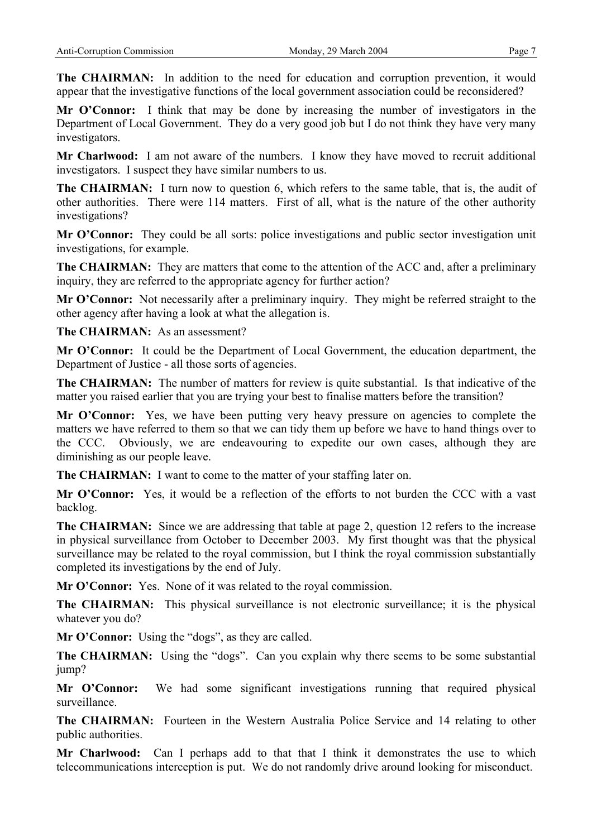**The CHAIRMAN:** In addition to the need for education and corruption prevention, it would appear that the investigative functions of the local government association could be reconsidered?

**Mr O'Connor:** I think that may be done by increasing the number of investigators in the Department of Local Government. They do a very good job but I do not think they have very many investigators.

**Mr Charlwood:** I am not aware of the numbers. I know they have moved to recruit additional investigators. I suspect they have similar numbers to us.

**The CHAIRMAN:** I turn now to question 6, which refers to the same table, that is, the audit of other authorities. There were 114 matters. First of all, what is the nature of the other authority investigations?

**Mr O'Connor:** They could be all sorts: police investigations and public sector investigation unit investigations, for example.

**The CHAIRMAN:** They are matters that come to the attention of the ACC and, after a preliminary inquiry, they are referred to the appropriate agency for further action?

**Mr O'Connor:** Not necessarily after a preliminary inquiry. They might be referred straight to the other agency after having a look at what the allegation is.

**The CHAIRMAN:** As an assessment?

**Mr O'Connor:** It could be the Department of Local Government, the education department, the Department of Justice - all those sorts of agencies.

**The CHAIRMAN:** The number of matters for review is quite substantial. Is that indicative of the matter you raised earlier that you are trying your best to finalise matters before the transition?

Mr O'Connor: Yes, we have been putting very heavy pressure on agencies to complete the matters we have referred to them so that we can tidy them up before we have to hand things over to the CCC. Obviously, we are endeavouring to expedite our own cases, although they are diminishing as our people leave.

**The CHAIRMAN:** I want to come to the matter of your staffing later on.

**Mr O'Connor:** Yes, it would be a reflection of the efforts to not burden the CCC with a vast backlog.

**The CHAIRMAN:** Since we are addressing that table at page 2, question 12 refers to the increase in physical surveillance from October to December 2003. My first thought was that the physical surveillance may be related to the royal commission, but I think the royal commission substantially completed its investigations by the end of July.

**Mr O'Connor:** Yes. None of it was related to the royal commission.

**The CHAIRMAN:** This physical surveillance is not electronic surveillance; it is the physical whatever you do?

**Mr O'Connor:** Using the "dogs", as they are called.

**The CHAIRMAN:** Using the "dogs". Can you explain why there seems to be some substantial jump?

**Mr O'Connor:** We had some significant investigations running that required physical surveillance.

**The CHAIRMAN:** Fourteen in the Western Australia Police Service and 14 relating to other public authorities.

**Mr Charlwood:** Can I perhaps add to that that I think it demonstrates the use to which telecommunications interception is put. We do not randomly drive around looking for misconduct.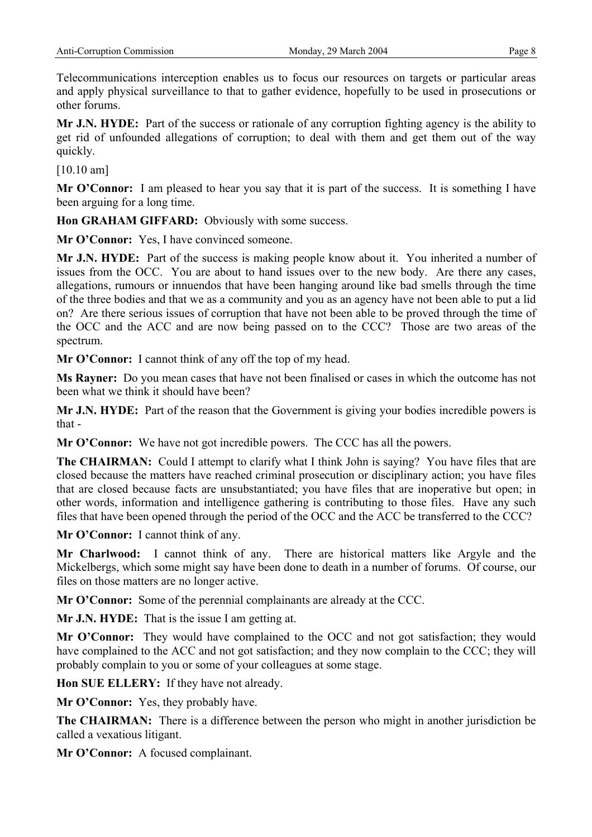Telecommunications interception enables us to focus our resources on targets or particular areas and apply physical surveillance to that to gather evidence, hopefully to be used in prosecutions or other forums.

**Mr J.N. HYDE:** Part of the success or rationale of any corruption fighting agency is the ability to get rid of unfounded allegations of corruption; to deal with them and get them out of the way quickly.

[10.10 am]

**Mr O'Connor:** I am pleased to hear you say that it is part of the success. It is something I have been arguing for a long time.

**Hon GRAHAM GIFFARD:** Obviously with some success.

**Mr O'Connor:** Yes, I have convinced someone.

**Mr J.N. HYDE:** Part of the success is making people know about it. You inherited a number of issues from the OCC. You are about to hand issues over to the new body. Are there any cases, allegations, rumours or innuendos that have been hanging around like bad smells through the time of the three bodies and that we as a community and you as an agency have not been able to put a lid on? Are there serious issues of corruption that have not been able to be proved through the time of the OCC and the ACC and are now being passed on to the CCC? Those are two areas of the spectrum.

**Mr O'Connor:** I cannot think of any off the top of my head.

**Ms Rayner:** Do you mean cases that have not been finalised or cases in which the outcome has not been what we think it should have been?

**Mr J.N. HYDE:** Part of the reason that the Government is giving your bodies incredible powers is that -

**Mr O'Connor:** We have not got incredible powers. The CCC has all the powers.

**The CHAIRMAN:** Could I attempt to clarify what I think John is saying? You have files that are closed because the matters have reached criminal prosecution or disciplinary action; you have files that are closed because facts are unsubstantiated; you have files that are inoperative but open; in other words, information and intelligence gathering is contributing to those files. Have any such files that have been opened through the period of the OCC and the ACC be transferred to the CCC?

**Mr O'Connor:** I cannot think of any.

**Mr Charlwood:** I cannot think of any. There are historical matters like Argyle and the Mickelbergs, which some might say have been done to death in a number of forums. Of course, our files on those matters are no longer active.

**Mr O'Connor:** Some of the perennial complainants are already at the CCC.

**Mr J.N. HYDE:** That is the issue I am getting at.

**Mr O'Connor:** They would have complained to the OCC and not got satisfaction; they would have complained to the ACC and not got satisfaction; and they now complain to the CCC; they will probably complain to you or some of your colleagues at some stage.

**Hon SUE ELLERY:** If they have not already.

**Mr O'Connor:** Yes, they probably have.

**The CHAIRMAN:** There is a difference between the person who might in another jurisdiction be called a vexatious litigant.

**Mr O'Connor:** A focused complainant.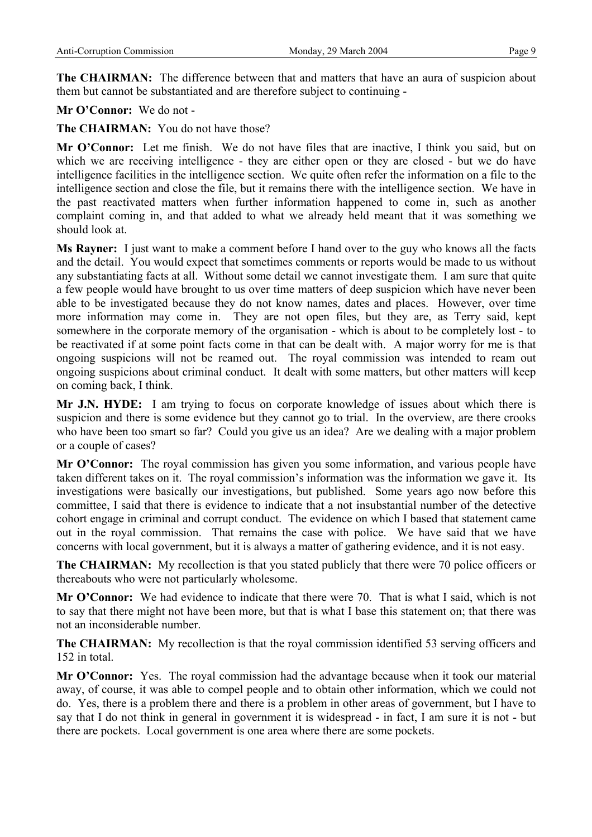**The CHAIRMAN:** The difference between that and matters that have an aura of suspicion about them but cannot be substantiated and are therefore subject to continuing -

# **Mr O'Connor:** We do not -

**The CHAIRMAN:** You do not have those?

**Mr O'Connor:** Let me finish. We do not have files that are inactive, I think you said, but on which we are receiving intelligence - they are either open or they are closed - but we do have intelligence facilities in the intelligence section. We quite often refer the information on a file to the intelligence section and close the file, but it remains there with the intelligence section. We have in the past reactivated matters when further information happened to come in, such as another complaint coming in, and that added to what we already held meant that it was something we should look at.

**Ms Rayner:** I just want to make a comment before I hand over to the guy who knows all the facts and the detail. You would expect that sometimes comments or reports would be made to us without any substantiating facts at all. Without some detail we cannot investigate them. I am sure that quite a few people would have brought to us over time matters of deep suspicion which have never been able to be investigated because they do not know names, dates and places. However, over time more information may come in. They are not open files, but they are, as Terry said, kept somewhere in the corporate memory of the organisation - which is about to be completely lost - to be reactivated if at some point facts come in that can be dealt with. A major worry for me is that ongoing suspicions will not be reamed out. The royal commission was intended to ream out ongoing suspicions about criminal conduct. It dealt with some matters, but other matters will keep on coming back, I think.

**Mr J.N. HYDE:** I am trying to focus on corporate knowledge of issues about which there is suspicion and there is some evidence but they cannot go to trial. In the overview, are there crooks who have been too smart so far? Could you give us an idea? Are we dealing with a major problem or a couple of cases?

**Mr O'Connor:** The royal commission has given you some information, and various people have taken different takes on it. The royal commission's information was the information we gave it. Its investigations were basically our investigations, but published. Some years ago now before this committee, I said that there is evidence to indicate that a not insubstantial number of the detective cohort engage in criminal and corrupt conduct. The evidence on which I based that statement came out in the royal commission. That remains the case with police. We have said that we have concerns with local government, but it is always a matter of gathering evidence, and it is not easy.

**The CHAIRMAN:** My recollection is that you stated publicly that there were 70 police officers or thereabouts who were not particularly wholesome.

**Mr O'Connor:** We had evidence to indicate that there were 70. That is what I said, which is not to say that there might not have been more, but that is what I base this statement on; that there was not an inconsiderable number.

**The CHAIRMAN:** My recollection is that the royal commission identified 53 serving officers and 152 in total.

**Mr O'Connor:** Yes. The royal commission had the advantage because when it took our material away, of course, it was able to compel people and to obtain other information, which we could not do. Yes, there is a problem there and there is a problem in other areas of government, but I have to say that I do not think in general in government it is widespread - in fact, I am sure it is not - but there are pockets. Local government is one area where there are some pockets.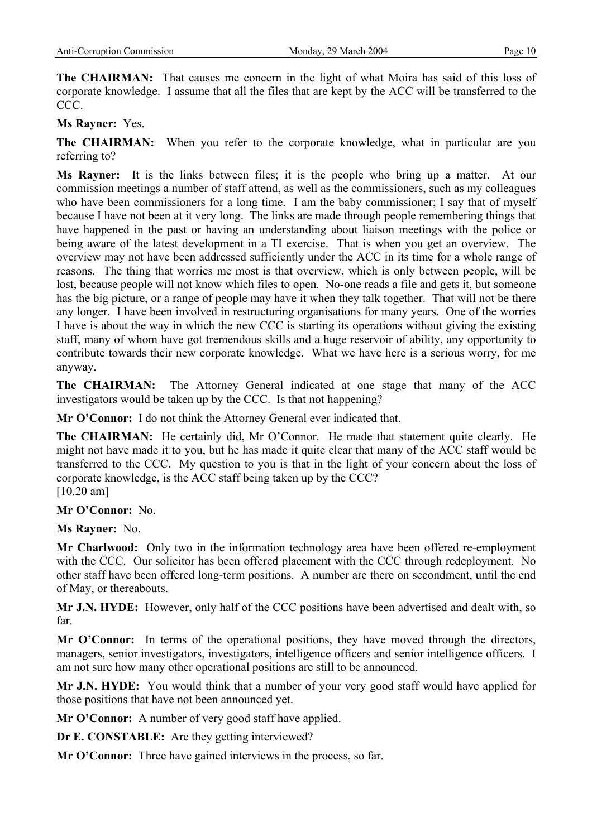**The CHAIRMAN:** That causes me concern in the light of what Moira has said of this loss of corporate knowledge. I assume that all the files that are kept by the ACC will be transferred to the CCC.

# **Ms Rayner:** Yes.

**The CHAIRMAN:** When you refer to the corporate knowledge, what in particular are you referring to?

**Ms Rayner:** It is the links between files; it is the people who bring up a matter. At our commission meetings a number of staff attend, as well as the commissioners, such as my colleagues who have been commissioners for a long time. I am the baby commissioner; I say that of myself because I have not been at it very long. The links are made through people remembering things that have happened in the past or having an understanding about liaison meetings with the police or being aware of the latest development in a TI exercise. That is when you get an overview. The overview may not have been addressed sufficiently under the ACC in its time for a whole range of reasons. The thing that worries me most is that overview, which is only between people, will be lost, because people will not know which files to open. No-one reads a file and gets it, but someone has the big picture, or a range of people may have it when they talk together. That will not be there any longer. I have been involved in restructuring organisations for many years. One of the worries I have is about the way in which the new CCC is starting its operations without giving the existing staff, many of whom have got tremendous skills and a huge reservoir of ability, any opportunity to contribute towards their new corporate knowledge. What we have here is a serious worry, for me anyway.

**The CHAIRMAN:** The Attorney General indicated at one stage that many of the ACC investigators would be taken up by the CCC. Is that not happening?

**Mr O'Connor:** I do not think the Attorney General ever indicated that.

**The CHAIRMAN:** He certainly did, Mr O'Connor. He made that statement quite clearly. He might not have made it to you, but he has made it quite clear that many of the ACC staff would be transferred to the CCC. My question to you is that in the light of your concern about the loss of corporate knowledge, is the ACC staff being taken up by the CCC? [10.20 am]

## **Mr O'Connor:** No.

**Ms Rayner:** No.

**Mr Charlwood:** Only two in the information technology area have been offered re-employment with the CCC. Our solicitor has been offered placement with the CCC through redeployment. No other staff have been offered long-term positions. A number are there on secondment, until the end of May, or thereabouts.

**Mr J.N. HYDE:** However, only half of the CCC positions have been advertised and dealt with, so far.

**Mr O'Connor:** In terms of the operational positions, they have moved through the directors, managers, senior investigators, investigators, intelligence officers and senior intelligence officers. I am not sure how many other operational positions are still to be announced.

**Mr J.N. HYDE:** You would think that a number of your very good staff would have applied for those positions that have not been announced yet.

**Mr O'Connor:** A number of very good staff have applied.

**Dr E. CONSTABLE:** Are they getting interviewed?

**Mr O'Connor:** Three have gained interviews in the process, so far.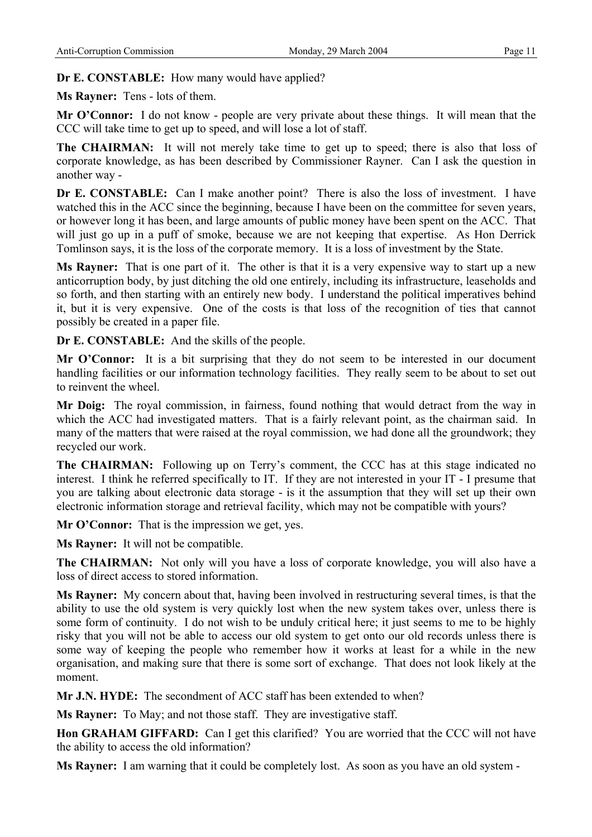**Dr E. CONSTABLE:** How many would have applied?

**Ms Rayner:** Tens - lots of them.

**Mr O'Connor:** I do not know - people are very private about these things. It will mean that the CCC will take time to get up to speed, and will lose a lot of staff.

**The CHAIRMAN:** It will not merely take time to get up to speed; there is also that loss of corporate knowledge, as has been described by Commissioner Rayner. Can I ask the question in another way -

**Dr E. CONSTABLE:** Can I make another point? There is also the loss of investment. I have watched this in the ACC since the beginning, because I have been on the committee for seven years, or however long it has been, and large amounts of public money have been spent on the ACC. That will just go up in a puff of smoke, because we are not keeping that expertise. As Hon Derrick Tomlinson says, it is the loss of the corporate memory. It is a loss of investment by the State.

**Ms Rayner:** That is one part of it. The other is that it is a very expensive way to start up a new anticorruption body, by just ditching the old one entirely, including its infrastructure, leaseholds and so forth, and then starting with an entirely new body. I understand the political imperatives behind it, but it is very expensive. One of the costs is that loss of the recognition of ties that cannot possibly be created in a paper file.

**Dr E. CONSTABLE:** And the skills of the people.

**Mr O'Connor:** It is a bit surprising that they do not seem to be interested in our document handling facilities or our information technology facilities. They really seem to be about to set out to reinvent the wheel.

**Mr Doig:** The royal commission, in fairness, found nothing that would detract from the way in which the ACC had investigated matters. That is a fairly relevant point, as the chairman said. In many of the matters that were raised at the royal commission, we had done all the groundwork; they recycled our work.

**The CHAIRMAN:** Following up on Terry's comment, the CCC has at this stage indicated no interest. I think he referred specifically to IT. If they are not interested in your IT - I presume that you are talking about electronic data storage - is it the assumption that they will set up their own electronic information storage and retrieval facility, which may not be compatible with yours?

**Mr O'Connor:** That is the impression we get, yes.

**Ms Rayner:** It will not be compatible.

**The CHAIRMAN:** Not only will you have a loss of corporate knowledge, you will also have a loss of direct access to stored information.

**Ms Rayner:** My concern about that, having been involved in restructuring several times, is that the ability to use the old system is very quickly lost when the new system takes over, unless there is some form of continuity. I do not wish to be unduly critical here; it just seems to me to be highly risky that you will not be able to access our old system to get onto our old records unless there is some way of keeping the people who remember how it works at least for a while in the new organisation, and making sure that there is some sort of exchange. That does not look likely at the moment.

**Mr J.N. HYDE:** The secondment of ACC staff has been extended to when?

**Ms Rayner:** To May; and not those staff. They are investigative staff.

**Hon GRAHAM GIFFARD:** Can I get this clarified? You are worried that the CCC will not have the ability to access the old information?

**Ms Rayner:** I am warning that it could be completely lost. As soon as you have an old system -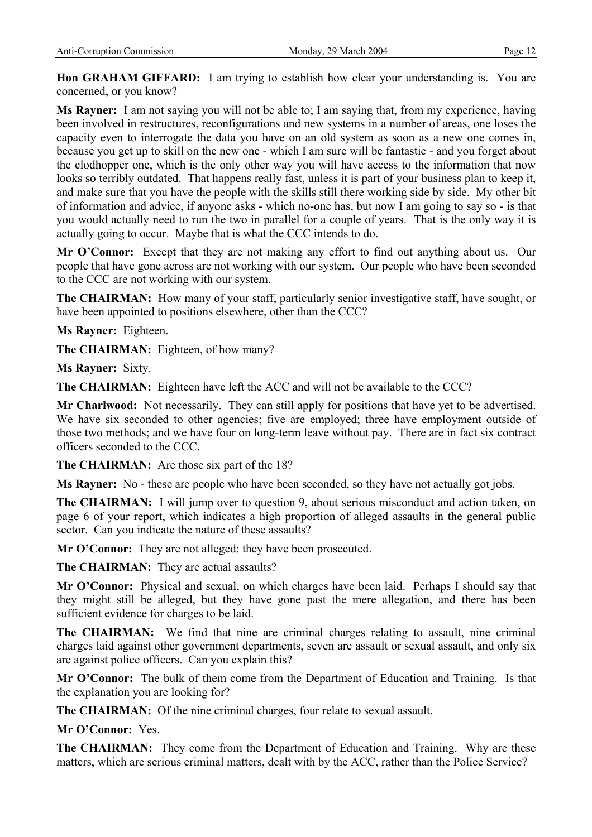**Hon GRAHAM GIFFARD:** I am trying to establish how clear your understanding is. You are concerned, or you know?

**Ms Rayner:** I am not saying you will not be able to; I am saying that, from my experience, having been involved in restructures, reconfigurations and new systems in a number of areas, one loses the capacity even to interrogate the data you have on an old system as soon as a new one comes in, because you get up to skill on the new one - which I am sure will be fantastic - and you forget about the clodhopper one, which is the only other way you will have access to the information that now looks so terribly outdated. That happens really fast, unless it is part of your business plan to keep it, and make sure that you have the people with the skills still there working side by side. My other bit of information and advice, if anyone asks - which no-one has, but now I am going to say so - is that you would actually need to run the two in parallel for a couple of years. That is the only way it is actually going to occur. Maybe that is what the CCC intends to do.

**Mr O'Connor:** Except that they are not making any effort to find out anything about us. Our people that have gone across are not working with our system. Our people who have been seconded to the CCC are not working with our system.

**The CHAIRMAN:** How many of your staff, particularly senior investigative staff, have sought, or have been appointed to positions elsewhere, other than the CCC?

**Ms Rayner:** Eighteen.

**The CHAIRMAN:** Eighteen, of how many?

**Ms Rayner:** Sixty.

**The CHAIRMAN:** Eighteen have left the ACC and will not be available to the CCC?

**Mr Charlwood:** Not necessarily. They can still apply for positions that have yet to be advertised. We have six seconded to other agencies; five are employed; three have employment outside of those two methods; and we have four on long-term leave without pay. There are in fact six contract officers seconded to the CCC.

**The CHAIRMAN:** Are those six part of the 18?

**Ms Rayner:** No - these are people who have been seconded, so they have not actually got jobs.

**The CHAIRMAN:** I will jump over to question 9, about serious misconduct and action taken, on page 6 of your report, which indicates a high proportion of alleged assaults in the general public sector. Can you indicate the nature of these assaults?

**Mr O'Connor:** They are not alleged; they have been prosecuted.

**The CHAIRMAN:** They are actual assaults?

**Mr O'Connor:** Physical and sexual, on which charges have been laid. Perhaps I should say that they might still be alleged, but they have gone past the mere allegation, and there has been sufficient evidence for charges to be laid.

**The CHAIRMAN:** We find that nine are criminal charges relating to assault, nine criminal charges laid against other government departments, seven are assault or sexual assault, and only six are against police officers. Can you explain this?

**Mr O'Connor:** The bulk of them come from the Department of Education and Training. Is that the explanation you are looking for?

**The CHAIRMAN:** Of the nine criminal charges, four relate to sexual assault.

**Mr O'Connor:** Yes.

**The CHAIRMAN:** They come from the Department of Education and Training. Why are these matters, which are serious criminal matters, dealt with by the ACC, rather than the Police Service?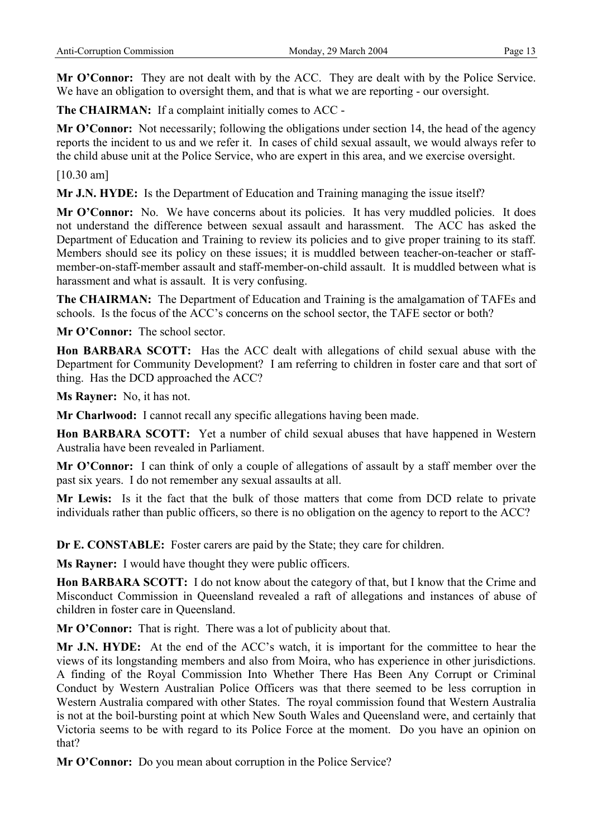**Mr O'Connor:** They are not dealt with by the ACC. They are dealt with by the Police Service. We have an obligation to oversight them, and that is what we are reporting - our oversight.

**The CHAIRMAN:** If a complaint initially comes to ACC -

**Mr O'Connor:** Not necessarily; following the obligations under section 14, the head of the agency reports the incident to us and we refer it. In cases of child sexual assault, we would always refer to the child abuse unit at the Police Service, who are expert in this area, and we exercise oversight.

[10.30 am]

**Mr J.N. HYDE:** Is the Department of Education and Training managing the issue itself?

Mr O'Connor: No. We have concerns about its policies. It has very muddled policies. It does not understand the difference between sexual assault and harassment. The ACC has asked the Department of Education and Training to review its policies and to give proper training to its staff. Members should see its policy on these issues; it is muddled between teacher-on-teacher or staffmember-on-staff-member assault and staff-member-on-child assault. It is muddled between what is harassment and what is assault. It is very confusing.

**The CHAIRMAN:** The Department of Education and Training is the amalgamation of TAFEs and schools. Is the focus of the ACC's concerns on the school sector, the TAFE sector or both?

**Mr O'Connor:** The school sector.

**Hon BARBARA SCOTT:** Has the ACC dealt with allegations of child sexual abuse with the Department for Community Development? I am referring to children in foster care and that sort of thing. Has the DCD approached the ACC?

**Ms Rayner:** No, it has not.

**Mr Charlwood:** I cannot recall any specific allegations having been made.

**Hon BARBARA SCOTT:** Yet a number of child sexual abuses that have happened in Western Australia have been revealed in Parliament.

**Mr O'Connor:** I can think of only a couple of allegations of assault by a staff member over the past six years. I do not remember any sexual assaults at all.

**Mr Lewis:** Is it the fact that the bulk of those matters that come from DCD relate to private individuals rather than public officers, so there is no obligation on the agency to report to the ACC?

**Dr E. CONSTABLE:** Foster carers are paid by the State; they care for children.

**Ms Rayner:** I would have thought they were public officers.

**Hon BARBARA SCOTT:** I do not know about the category of that, but I know that the Crime and Misconduct Commission in Queensland revealed a raft of allegations and instances of abuse of children in foster care in Queensland.

**Mr O'Connor:** That is right. There was a lot of publicity about that.

**Mr J.N. HYDE:** At the end of the ACC's watch, it is important for the committee to hear the views of its longstanding members and also from Moira, who has experience in other jurisdictions. A finding of the Royal Commission Into Whether There Has Been Any Corrupt or Criminal Conduct by Western Australian Police Officers was that there seemed to be less corruption in Western Australia compared with other States. The royal commission found that Western Australia is not at the boil-bursting point at which New South Wales and Queensland were, and certainly that Victoria seems to be with regard to its Police Force at the moment. Do you have an opinion on that?

**Mr O'Connor:** Do you mean about corruption in the Police Service?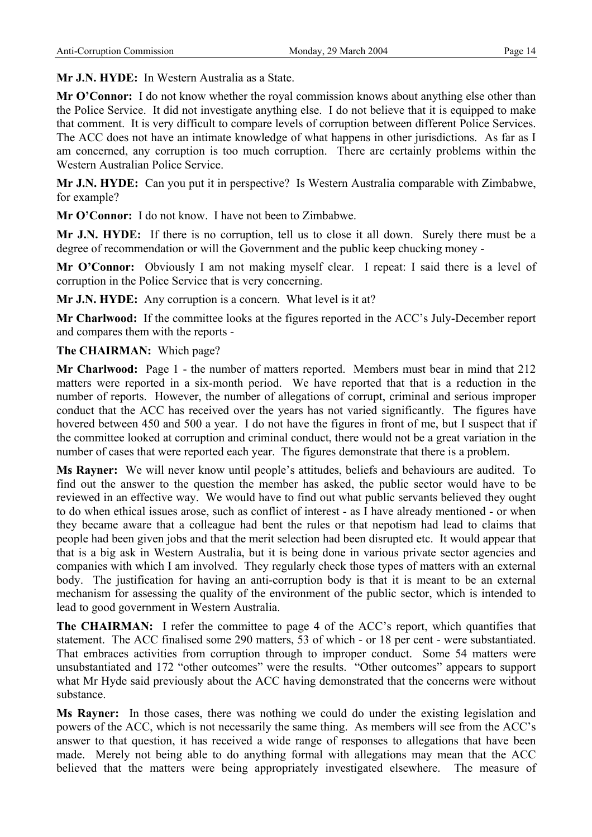**Mr J.N. HYDE:** In Western Australia as a State.

**Mr O'Connor:** I do not know whether the royal commission knows about anything else other than the Police Service. It did not investigate anything else. I do not believe that it is equipped to make that comment. It is very difficult to compare levels of corruption between different Police Services. The ACC does not have an intimate knowledge of what happens in other jurisdictions. As far as I am concerned, any corruption is too much corruption. There are certainly problems within the Western Australian Police Service.

**Mr J.N. HYDE:** Can you put it in perspective? Is Western Australia comparable with Zimbabwe, for example?

**Mr O'Connor:** I do not know. I have not been to Zimbabwe.

**Mr J.N. HYDE:** If there is no corruption, tell us to close it all down. Surely there must be a degree of recommendation or will the Government and the public keep chucking money -

**Mr O'Connor:** Obviously I am not making myself clear. I repeat: I said there is a level of corruption in the Police Service that is very concerning.

**Mr J.N. HYDE:** Any corruption is a concern. What level is it at?

**Mr Charlwood:** If the committee looks at the figures reported in the ACC's July-December report and compares them with the reports -

## **The CHAIRMAN:** Which page?

**Mr Charlwood:** Page 1 - the number of matters reported. Members must bear in mind that 212 matters were reported in a six-month period. We have reported that that is a reduction in the number of reports. However, the number of allegations of corrupt, criminal and serious improper conduct that the ACC has received over the years has not varied significantly. The figures have hovered between 450 and 500 a year. I do not have the figures in front of me, but I suspect that if the committee looked at corruption and criminal conduct, there would not be a great variation in the number of cases that were reported each year. The figures demonstrate that there is a problem.

**Ms Rayner:** We will never know until people's attitudes, beliefs and behaviours are audited. To find out the answer to the question the member has asked, the public sector would have to be reviewed in an effective way. We would have to find out what public servants believed they ought to do when ethical issues arose, such as conflict of interest - as I have already mentioned - or when they became aware that a colleague had bent the rules or that nepotism had lead to claims that people had been given jobs and that the merit selection had been disrupted etc. It would appear that that is a big ask in Western Australia, but it is being done in various private sector agencies and companies with which I am involved. They regularly check those types of matters with an external body. The justification for having an anti-corruption body is that it is meant to be an external mechanism for assessing the quality of the environment of the public sector, which is intended to lead to good government in Western Australia.

The CHAIRMAN: I refer the committee to page 4 of the ACC's report, which quantifies that statement. The ACC finalised some 290 matters, 53 of which - or 18 per cent - were substantiated. That embraces activities from corruption through to improper conduct. Some 54 matters were unsubstantiated and 172 "other outcomes" were the results. "Other outcomes" appears to support what Mr Hyde said previously about the ACC having demonstrated that the concerns were without substance.

**Ms Rayner:** In those cases, there was nothing we could do under the existing legislation and powers of the ACC, which is not necessarily the same thing. As members will see from the ACC's answer to that question, it has received a wide range of responses to allegations that have been made. Merely not being able to do anything formal with allegations may mean that the ACC believed that the matters were being appropriately investigated elsewhere. The measure of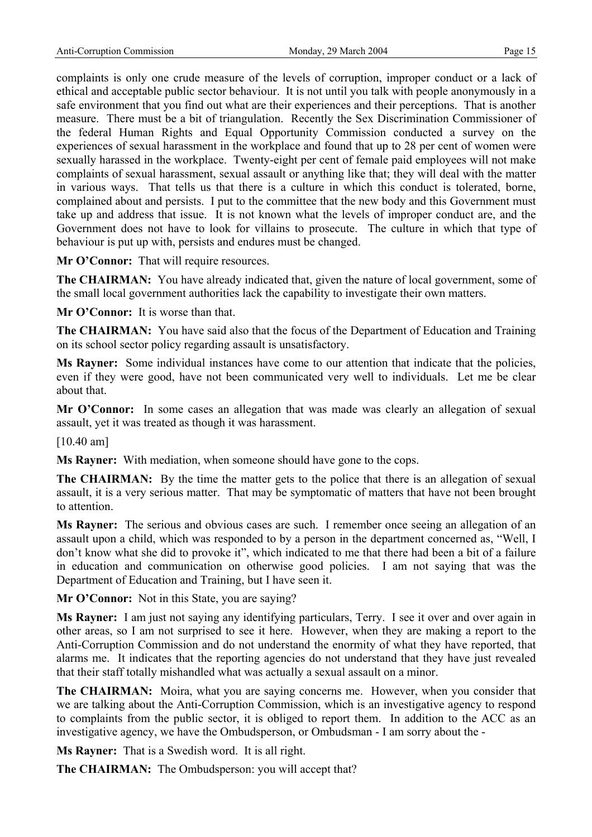complaints is only one crude measure of the levels of corruption, improper conduct or a lack of ethical and acceptable public sector behaviour. It is not until you talk with people anonymously in a safe environment that you find out what are their experiences and their perceptions. That is another measure. There must be a bit of triangulation. Recently the Sex Discrimination Commissioner of the federal Human Rights and Equal Opportunity Commission conducted a survey on the experiences of sexual harassment in the workplace and found that up to 28 per cent of women were sexually harassed in the workplace. Twenty-eight per cent of female paid employees will not make complaints of sexual harassment, sexual assault or anything like that; they will deal with the matter in various ways. That tells us that there is a culture in which this conduct is tolerated, borne, complained about and persists. I put to the committee that the new body and this Government must take up and address that issue. It is not known what the levels of improper conduct are, and the Government does not have to look for villains to prosecute. The culture in which that type of behaviour is put up with, persists and endures must be changed.

**Mr O'Connor:** That will require resources.

**The CHAIRMAN:** You have already indicated that, given the nature of local government, some of the small local government authorities lack the capability to investigate their own matters.

**Mr O'Connor:** It is worse than that.

**The CHAIRMAN:** You have said also that the focus of the Department of Education and Training on its school sector policy regarding assault is unsatisfactory.

**Ms Rayner:** Some individual instances have come to our attention that indicate that the policies, even if they were good, have not been communicated very well to individuals. Let me be clear about that.

Mr O'Connor: In some cases an allegation that was made was clearly an allegation of sexual assault, yet it was treated as though it was harassment.

[10.40 am]

**Ms Rayner:** With mediation, when someone should have gone to the cops.

**The CHAIRMAN:** By the time the matter gets to the police that there is an allegation of sexual assault, it is a very serious matter. That may be symptomatic of matters that have not been brought to attention.

**Ms Rayner:** The serious and obvious cases are such. I remember once seeing an allegation of an assault upon a child, which was responded to by a person in the department concerned as, "Well, I don't know what she did to provoke it", which indicated to me that there had been a bit of a failure in education and communication on otherwise good policies. I am not saying that was the Department of Education and Training, but I have seen it.

**Mr O'Connor:** Not in this State, you are saying?

**Ms Rayner:** I am just not saying any identifying particulars, Terry. I see it over and over again in other areas, so I am not surprised to see it here. However, when they are making a report to the Anti-Corruption Commission and do not understand the enormity of what they have reported, that alarms me. It indicates that the reporting agencies do not understand that they have just revealed that their staff totally mishandled what was actually a sexual assault on a minor.

**The CHAIRMAN:** Moira, what you are saying concerns me. However, when you consider that we are talking about the Anti-Corruption Commission, which is an investigative agency to respond to complaints from the public sector, it is obliged to report them. In addition to the ACC as an investigative agency, we have the Ombudsperson, or Ombudsman - I am sorry about the -

**Ms Rayner:** That is a Swedish word. It is all right.

**The CHAIRMAN:** The Ombudsperson: you will accept that?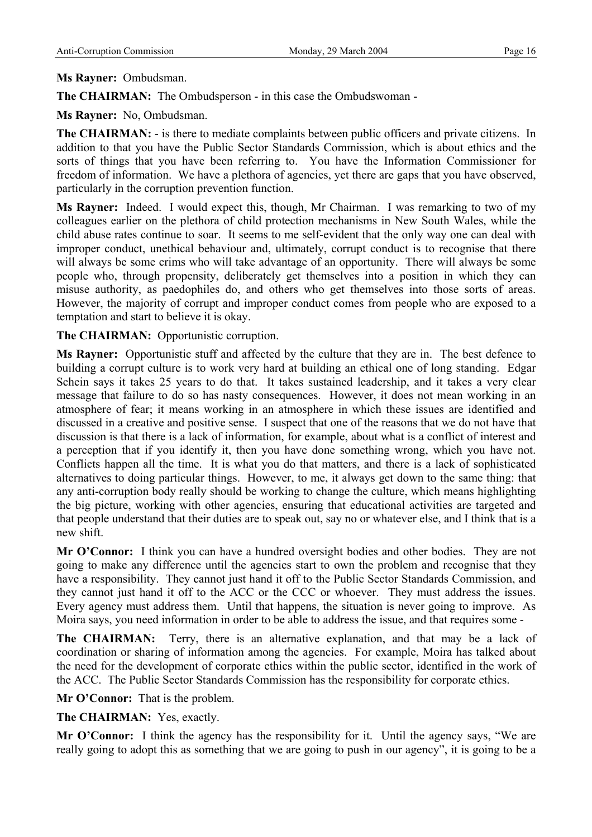## **Ms Rayner:** Ombudsman.

**The CHAIRMAN:** The Ombudsperson - in this case the Ombudswoman -

**Ms Rayner:** No, Ombudsman.

**The CHAIRMAN:** - is there to mediate complaints between public officers and private citizens. In addition to that you have the Public Sector Standards Commission, which is about ethics and the sorts of things that you have been referring to. You have the Information Commissioner for freedom of information. We have a plethora of agencies, yet there are gaps that you have observed, particularly in the corruption prevention function.

**Ms Rayner:** Indeed. I would expect this, though, Mr Chairman. I was remarking to two of my colleagues earlier on the plethora of child protection mechanisms in New South Wales, while the child abuse rates continue to soar. It seems to me self-evident that the only way one can deal with improper conduct, unethical behaviour and, ultimately, corrupt conduct is to recognise that there will always be some crims who will take advantage of an opportunity. There will always be some people who, through propensity, deliberately get themselves into a position in which they can misuse authority, as paedophiles do, and others who get themselves into those sorts of areas. However, the majority of corrupt and improper conduct comes from people who are exposed to a temptation and start to believe it is okay.

**The CHAIRMAN:** Opportunistic corruption.

**Ms Rayner:** Opportunistic stuff and affected by the culture that they are in. The best defence to building a corrupt culture is to work very hard at building an ethical one of long standing. Edgar Schein says it takes 25 years to do that. It takes sustained leadership, and it takes a very clear message that failure to do so has nasty consequences. However, it does not mean working in an atmosphere of fear; it means working in an atmosphere in which these issues are identified and discussed in a creative and positive sense. I suspect that one of the reasons that we do not have that discussion is that there is a lack of information, for example, about what is a conflict of interest and a perception that if you identify it, then you have done something wrong, which you have not. Conflicts happen all the time. It is what you do that matters, and there is a lack of sophisticated alternatives to doing particular things. However, to me, it always get down to the same thing: that any anti-corruption body really should be working to change the culture, which means highlighting the big picture, working with other agencies, ensuring that educational activities are targeted and that people understand that their duties are to speak out, say no or whatever else, and I think that is a new shift.

**Mr O'Connor:** I think you can have a hundred oversight bodies and other bodies. They are not going to make any difference until the agencies start to own the problem and recognise that they have a responsibility. They cannot just hand it off to the Public Sector Standards Commission, and they cannot just hand it off to the ACC or the CCC or whoever. They must address the issues. Every agency must address them. Until that happens, the situation is never going to improve. As Moira says, you need information in order to be able to address the issue, and that requires some -

**The CHAIRMAN:** Terry, there is an alternative explanation, and that may be a lack of coordination or sharing of information among the agencies. For example, Moira has talked about the need for the development of corporate ethics within the public sector, identified in the work of the ACC. The Public Sector Standards Commission has the responsibility for corporate ethics.

**Mr O'Connor:** That is the problem.

**The CHAIRMAN:** Yes, exactly.

Mr O'Connor: I think the agency has the responsibility for it. Until the agency says, "We are really going to adopt this as something that we are going to push in our agency", it is going to be a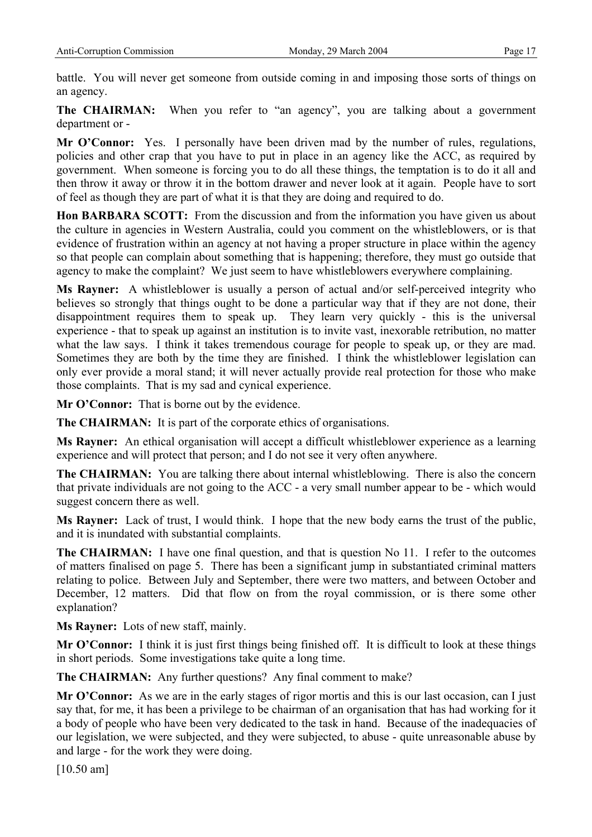battle. You will never get someone from outside coming in and imposing those sorts of things on an agency.

**The CHAIRMAN:** When you refer to "an agency", you are talking about a government department or -

Mr O'Connor: Yes. I personally have been driven mad by the number of rules, regulations, policies and other crap that you have to put in place in an agency like the ACC, as required by government. When someone is forcing you to do all these things, the temptation is to do it all and then throw it away or throw it in the bottom drawer and never look at it again. People have to sort of feel as though they are part of what it is that they are doing and required to do.

**Hon BARBARA SCOTT:** From the discussion and from the information you have given us about the culture in agencies in Western Australia, could you comment on the whistleblowers, or is that evidence of frustration within an agency at not having a proper structure in place within the agency so that people can complain about something that is happening; therefore, they must go outside that agency to make the complaint? We just seem to have whistleblowers everywhere complaining.

**Ms Rayner:** A whistleblower is usually a person of actual and/or self-perceived integrity who believes so strongly that things ought to be done a particular way that if they are not done, their disappointment requires them to speak up. They learn very quickly - this is the universal experience - that to speak up against an institution is to invite vast, inexorable retribution, no matter what the law says. I think it takes tremendous courage for people to speak up, or they are mad. Sometimes they are both by the time they are finished. I think the whistleblower legislation can only ever provide a moral stand; it will never actually provide real protection for those who make those complaints. That is my sad and cynical experience.

**Mr O'Connor:** That is borne out by the evidence.

**The CHAIRMAN:** It is part of the corporate ethics of organisations.

**Ms Rayner:** An ethical organisation will accept a difficult whistleblower experience as a learning experience and will protect that person; and I do not see it very often anywhere.

**The CHAIRMAN:** You are talking there about internal whistleblowing. There is also the concern that private individuals are not going to the ACC - a very small number appear to be - which would suggest concern there as well.

**Ms Rayner:** Lack of trust, I would think. I hope that the new body earns the trust of the public, and it is inundated with substantial complaints.

**The CHAIRMAN:** I have one final question, and that is question No 11. I refer to the outcomes of matters finalised on page 5. There has been a significant jump in substantiated criminal matters relating to police. Between July and September, there were two matters, and between October and December, 12 matters. Did that flow on from the royal commission, or is there some other explanation?

**Ms Rayner:** Lots of new staff, mainly.

**Mr O'Connor:** I think it is just first things being finished off. It is difficult to look at these things in short periods. Some investigations take quite a long time.

**The CHAIRMAN:** Any further questions? Any final comment to make?

**Mr O'Connor:** As we are in the early stages of rigor mortis and this is our last occasion, can I just say that, for me, it has been a privilege to be chairman of an organisation that has had working for it a body of people who have been very dedicated to the task in hand. Because of the inadequacies of our legislation, we were subjected, and they were subjected, to abuse - quite unreasonable abuse by and large - for the work they were doing.

[10.50 am]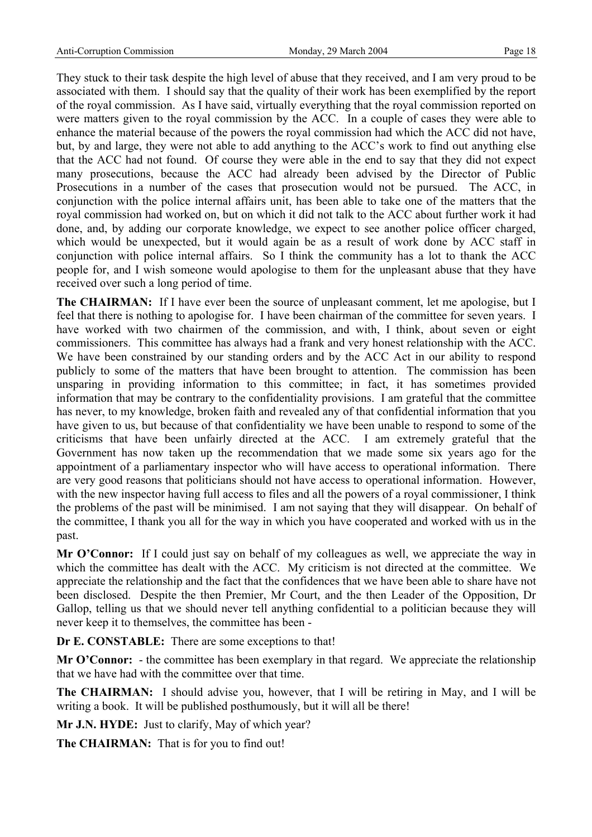They stuck to their task despite the high level of abuse that they received, and I am very proud to be associated with them. I should say that the quality of their work has been exemplified by the report of the royal commission. As I have said, virtually everything that the royal commission reported on were matters given to the royal commission by the ACC. In a couple of cases they were able to enhance the material because of the powers the royal commission had which the ACC did not have, but, by and large, they were not able to add anything to the ACC's work to find out anything else that the ACC had not found. Of course they were able in the end to say that they did not expect many prosecutions, because the ACC had already been advised by the Director of Public Prosecutions in a number of the cases that prosecution would not be pursued. The ACC, in conjunction with the police internal affairs unit, has been able to take one of the matters that the royal commission had worked on, but on which it did not talk to the ACC about further work it had done, and, by adding our corporate knowledge, we expect to see another police officer charged, which would be unexpected, but it would again be as a result of work done by ACC staff in conjunction with police internal affairs. So I think the community has a lot to thank the ACC people for, and I wish someone would apologise to them for the unpleasant abuse that they have received over such a long period of time.

The CHAIRMAN: If I have ever been the source of unpleasant comment, let me apologise, but I feel that there is nothing to apologise for. I have been chairman of the committee for seven years. I have worked with two chairmen of the commission, and with, I think, about seven or eight commissioners. This committee has always had a frank and very honest relationship with the ACC. We have been constrained by our standing orders and by the ACC Act in our ability to respond publicly to some of the matters that have been brought to attention. The commission has been unsparing in providing information to this committee; in fact, it has sometimes provided information that may be contrary to the confidentiality provisions. I am grateful that the committee has never, to my knowledge, broken faith and revealed any of that confidential information that you have given to us, but because of that confidentiality we have been unable to respond to some of the criticisms that have been unfairly directed at the ACC. I am extremely grateful that the Government has now taken up the recommendation that we made some six years ago for the appointment of a parliamentary inspector who will have access to operational information. There are very good reasons that politicians should not have access to operational information. However, with the new inspector having full access to files and all the powers of a royal commissioner, I think the problems of the past will be minimised. I am not saying that they will disappear. On behalf of the committee, I thank you all for the way in which you have cooperated and worked with us in the past.

**Mr O'Connor:** If I could just say on behalf of my colleagues as well, we appreciate the way in which the committee has dealt with the ACC. My criticism is not directed at the committee. We appreciate the relationship and the fact that the confidences that we have been able to share have not been disclosed. Despite the then Premier, Mr Court, and the then Leader of the Opposition, Dr Gallop, telling us that we should never tell anything confidential to a politician because they will never keep it to themselves, the committee has been -

**Dr E. CONSTABLE:** There are some exceptions to that!

**Mr O'Connor:** - the committee has been exemplary in that regard. We appreciate the relationship that we have had with the committee over that time.

**The CHAIRMAN:** I should advise you, however, that I will be retiring in May, and I will be writing a book. It will be published posthumously, but it will all be there!

**Mr J.N. HYDE:** Just to clarify, May of which year?

**The CHAIRMAN:** That is for you to find out!